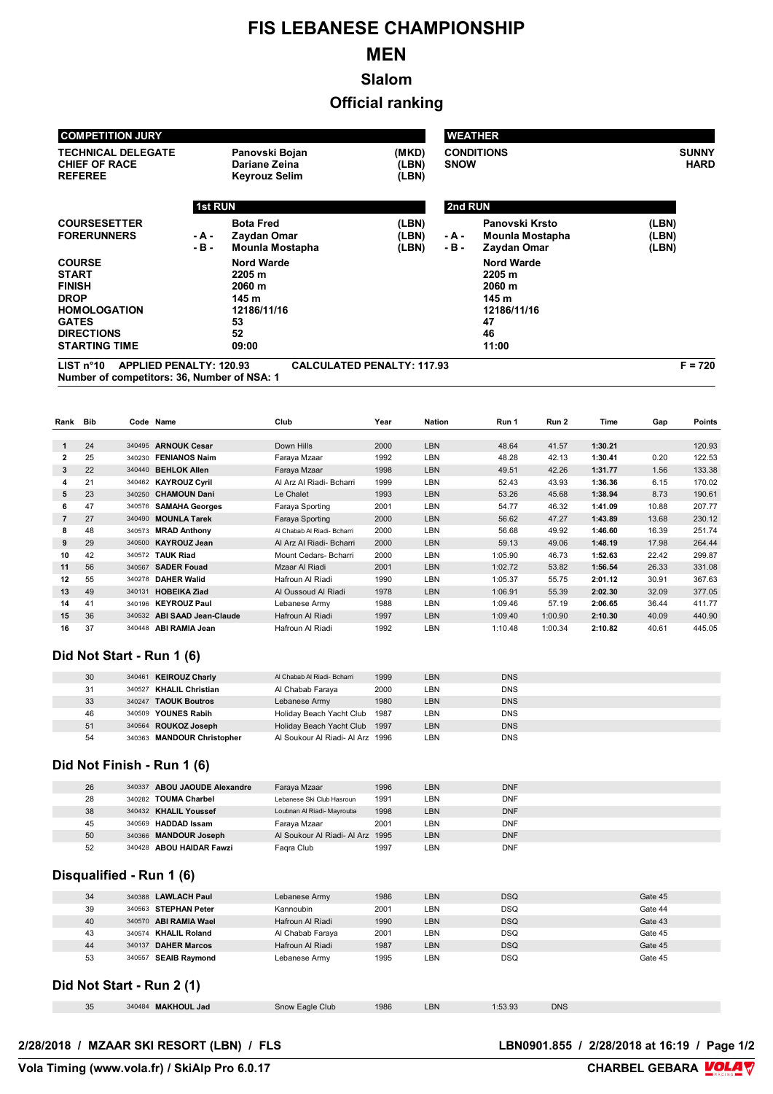# **FIS LEBANESE CHAMPIONSHIP**

## **MEN**

**Slalom**

#### **Official ranking**

|                                                                                                                                                                                                |                        | <b>COMPETITION JURY</b> |                                                                                                                                          |                                                                   |                                           |                                                | <b>WEATHER</b>                                                                       |                |                    |                |                                                          |
|------------------------------------------------------------------------------------------------------------------------------------------------------------------------------------------------|------------------------|-------------------------|------------------------------------------------------------------------------------------------------------------------------------------|-------------------------------------------------------------------|-------------------------------------------|------------------------------------------------|--------------------------------------------------------------------------------------|----------------|--------------------|----------------|----------------------------------------------------------|
| <b>TECHNICAL DELEGATE</b><br><b>CHIEF OF RACE</b><br><b>REFEREE</b>                                                                                                                            |                        |                         | Panovski Bojan<br>Dariane Zeina<br>Keyrouz Selim                                                                                         |                                                                   | (MKD)<br>(LBN)<br><b>SNOW</b><br>(LBN)    | <b>CONDITIONS</b>                              | <b>SUNNY</b><br><b>HARD</b>                                                          |                |                    |                |                                                          |
|                                                                                                                                                                                                |                        |                         | <b>1st RUN</b>                                                                                                                           |                                                                   |                                           |                                                | 2nd RUN                                                                              |                |                    |                |                                                          |
| <b>COURSESETTER</b><br><b>FORERUNNERS</b><br><b>COURSE</b><br><b>START</b><br><b>FINISH</b><br><b>DROP</b><br><b>HOMOLOGATION</b><br><b>GATES</b><br><b>DIRECTIONS</b><br><b>STARTING TIME</b> |                        | - A -<br>$-B -$         | <b>Bota Fred</b><br>Zaydan Omar<br>Mounla Mostapha<br><b>Nord Warde</b><br>2205 m<br>2060 m<br>145 m<br>12186/11/16<br>53<br>52<br>09:00 |                                                                   | (LBN)<br>(LBN)<br>- A -<br>(LBN)<br>- B - | 2205 m<br>2060 m<br>145 m<br>47<br>46<br>11:00 | Panovski Krsto<br>Mounla Mostapha<br>Zaydan Omar<br><b>Nord Warde</b><br>12186/11/16 |                |                    |                |                                                          |
|                                                                                                                                                                                                | LIST n <sup>°</sup> 10 |                         | <b>APPLIED PENALTY: 120.93</b><br>Number of competitors: 36, Number of NSA: 1                                                            | <b>CALCULATED PENALTY: 117.93</b>                                 |                                           |                                                |                                                                                      |                |                    |                | $F = 720$                                                |
|                                                                                                                                                                                                |                        |                         |                                                                                                                                          | Club                                                              |                                           |                                                |                                                                                      |                |                    |                |                                                          |
| Rank                                                                                                                                                                                           | Bib                    |                         | Code Name                                                                                                                                |                                                                   | Year                                      | <b>Nation</b>                                  | Run 1                                                                                | Run 2          | Time               | Gap            | Points                                                   |
| 1                                                                                                                                                                                              | 24                     |                         | 340495 ARNOUK Cesar                                                                                                                      | Down Hills                                                        | 2000                                      | <b>LBN</b>                                     | 48.64                                                                                | 41.57          | 1:30.21            |                | 120.93                                                   |
| 2                                                                                                                                                                                              | 25                     |                         | 340230 FENIANOS Naim                                                                                                                     | Faraya Mzaar                                                      | 1992                                      | LBN                                            | 48.28                                                                                | 42.13          | 1:30.41            | 0.20           | 122.53                                                   |
| 3                                                                                                                                                                                              | 22                     |                         | 340440 BEHLOK Allen                                                                                                                      | Faraya Mzaar                                                      | 1998                                      | LBN                                            | 49.51                                                                                | 42.26          | 1:31.77            | 1.56           | 133.38                                                   |
| 4                                                                                                                                                                                              | 21                     |                         | 340462 KAYROUZ Cyril                                                                                                                     | Al Arz Al Riadi- Bcharri                                          | 1999                                      | LBN                                            | 52.43                                                                                | 43.93          | 1:36.36            | 6.15           | 170.02                                                   |
| 5                                                                                                                                                                                              | 23                     |                         | 340250 CHAMOUN Dani                                                                                                                      | Le Chalet                                                         | 1993                                      | <b>LBN</b>                                     | 53.26                                                                                | 45.68          | 1:38.94            | 8.73           | 190.61                                                   |
| 6                                                                                                                                                                                              | 47                     |                         | 340576 SAMAHA Georges                                                                                                                    | Faraya Sporting                                                   | 2001                                      | LBN                                            | 54.77                                                                                | 46.32          | 1:41.09            | 10.88          | 207.77                                                   |
| 7<br>8                                                                                                                                                                                         | 27<br>48               |                         | 340490 MOUNLA Tarek                                                                                                                      | Faraya Sporting<br>Al Chabab Al Riadi- Bcharri                    | 2000<br>2000                              | LBN<br>LBN                                     | 56.62<br>56.68                                                                       | 47.27<br>49.92 | 1:43.89<br>1:46.60 | 13.68<br>16.39 | 230.12<br>251.74                                         |
| 9                                                                                                                                                                                              | 29                     |                         | 340573 MRAD Anthony<br>340500 KAYROUZ Jean                                                                                               | Al Arz Al Riadi- Bcharri                                          | 2000                                      | <b>LBN</b>                                     | 59.13                                                                                | 49.06          | 1:48.19            | 17.98          | 264.44                                                   |
| 10                                                                                                                                                                                             | 42                     |                         | 340572 TAUK Riad                                                                                                                         |                                                                   |                                           |                                                |                                                                                      |                |                    |                |                                                          |
|                                                                                                                                                                                                | 56                     |                         |                                                                                                                                          |                                                                   |                                           |                                                |                                                                                      |                |                    |                |                                                          |
|                                                                                                                                                                                                |                        |                         | 340567 SADER Fouad                                                                                                                       | Mount Cedars- Bcharri<br>Mzaar Al Riadi                           | 2000<br>2001                              | LBN<br>LBN                                     | 1:05.90<br>1:02.72                                                                   | 46.73<br>53.82 | 1:52.63<br>1:56.54 | 22.42<br>26.33 |                                                          |
|                                                                                                                                                                                                | 55                     |                         | 340278 DAHER Walid                                                                                                                       | Hafroun Al Riadi                                                  | 1990                                      | LBN                                            | 1:05.37                                                                              | 55.75          | 2:01.12            | 30.91          |                                                          |
|                                                                                                                                                                                                | 49                     |                         | 340131 HOBEIKA Ziad                                                                                                                      | Al Oussoud Al Riadi                                               | 1978                                      | <b>LBN</b>                                     | 1:06.91                                                                              | 55.39          | 2:02.30            | 32.09          |                                                          |
|                                                                                                                                                                                                | 41                     |                         | 340196 KEYROUZ Paul                                                                                                                      | Lebanese Army                                                     | 1988                                      | LBN                                            | 1:09.46                                                                              | 57.19          | 2:06.65            | 36.44          |                                                          |
|                                                                                                                                                                                                | 36                     | 340532                  | <b>ABI SAAD Jean-Claude</b>                                                                                                              | Hafroun Al Riadi                                                  | 1997                                      | LBN                                            | 1:09.40                                                                              | 1:00.90        | 2:10.30            | 40.09          | 299.87<br>331.08<br>367.63<br>377.05<br>411.77<br>440.90 |
| 11<br>13<br>15                                                                                                                                                                                 | 37                     |                         | 340448 ABI RAMIA Jean                                                                                                                    | Hafroun Al Riadi                                                  | 1992                                      | LBN                                            | 1:10.48                                                                              | 1:00.34        | 2:10.82            | 40.61          | 445.05                                                   |
|                                                                                                                                                                                                |                        |                         | Did Not Start - Run 1 (6)                                                                                                                |                                                                   |                                           |                                                |                                                                                      |                |                    |                |                                                          |
|                                                                                                                                                                                                | 30                     |                         | 340461 KEIROUZ Charly                                                                                                                    | Al Chabab Al Riadi- Bcharri                                       | 1999                                      | <b>LBN</b>                                     | <b>DNS</b>                                                                           |                |                    |                |                                                          |
|                                                                                                                                                                                                | 31                     |                         | 340527 KHALIL Christian                                                                                                                  | Al Chabab Faraya                                                  | 2000                                      | LBN                                            | <b>DNS</b>                                                                           |                |                    |                |                                                          |
|                                                                                                                                                                                                | 33                     |                         | 340247 TAOUK Boutros                                                                                                                     | Lebanese Army                                                     | 1980                                      | LBN                                            | <b>DNS</b>                                                                           |                |                    |                |                                                          |
|                                                                                                                                                                                                | 46                     |                         | 340509 YOUNES Rabih                                                                                                                      | Holiday Beach Yacht Club 1987                                     |                                           | LBN                                            | <b>DNS</b>                                                                           |                |                    |                |                                                          |
| 12<br>14<br>16                                                                                                                                                                                 | 51<br>54               |                         | 340564 ROUKOZ Joseph<br>340363 MANDOUR Christopher                                                                                       | Holiday Beach Yacht Club 1997<br>Al Soukour Al Riadi- Al Arz 1996 |                                           | LBN<br>LBN                                     | <b>DNS</b><br><b>DNS</b>                                                             |                |                    |                |                                                          |
|                                                                                                                                                                                                |                        |                         |                                                                                                                                          |                                                                   |                                           |                                                |                                                                                      |                |                    |                |                                                          |
|                                                                                                                                                                                                | 26                     |                         | Did Not Finish - Run 1 (6)<br>340337 ABOU JAOUDE Alexandre                                                                               | Faraya Mzaar                                                      | 1996                                      | LBN                                            | <b>DNF</b>                                                                           |                |                    |                |                                                          |

| 38 | 340432 KHALIL Youssef    | Loubnan Al Riadi- Mayrouba       | 1998 | LBN | <b>DNF</b> |
|----|--------------------------|----------------------------------|------|-----|------------|
| 45 | 340569 HADDAD Issam      | Farava Mzaar                     | 2001 | LBN | <b>DNF</b> |
| 50 | 340366 MANDOUR Joseph    | Al Soukour Al Riadi- Al Arz 1995 |      | LBN | <b>DNF</b> |
| 52 | 340428 ABOU HAIDAR Fawzi | Faqra Club                       | 1997 | LBN | <b>DNF</b> |

#### **Disqualified - Run 1 (6)**

| 34 | 340388 LAWLACH Paul   | Lebanese Army    | 1986 | LBN | <b>DSQ</b> | Gate 45 |
|----|-----------------------|------------------|------|-----|------------|---------|
| 39 | 340563 STEPHAN Peter  | Kannoubin        | 2001 | LBN | <b>DSQ</b> | Gate 44 |
| 40 | 340570 ABI RAMIA Wael | Hafroun Al Riadi | 1990 | LBN | <b>DSQ</b> | Gate 43 |
| 43 | 340574 KHALIL Roland  | Al Chabab Faraya | 2001 | LBN | DSQ        | Gate 45 |
| 44 | 340137 DAHER Marcos   | Hafroun Al Riadi | 1987 | LBN | <b>DSQ</b> | Gate 45 |
| 53 | 340557 SEAIB Raymond  | Lebanese Army    | 1995 | LBN | DSQ        | Gate 45 |

#### **Did Not Start - Run 2 (1)**

| 35 | <b>MAKHOUL Jad</b><br>340484 | Eagle Club<br>snow F | 1986 | LBN | :53.93 | <b>DNS</b> |
|----|------------------------------|----------------------|------|-----|--------|------------|
|    |                              |                      |      |     |        |            |

#### **2/28/2018 / MZAAR SKI RESORT (LBN) / FLS**